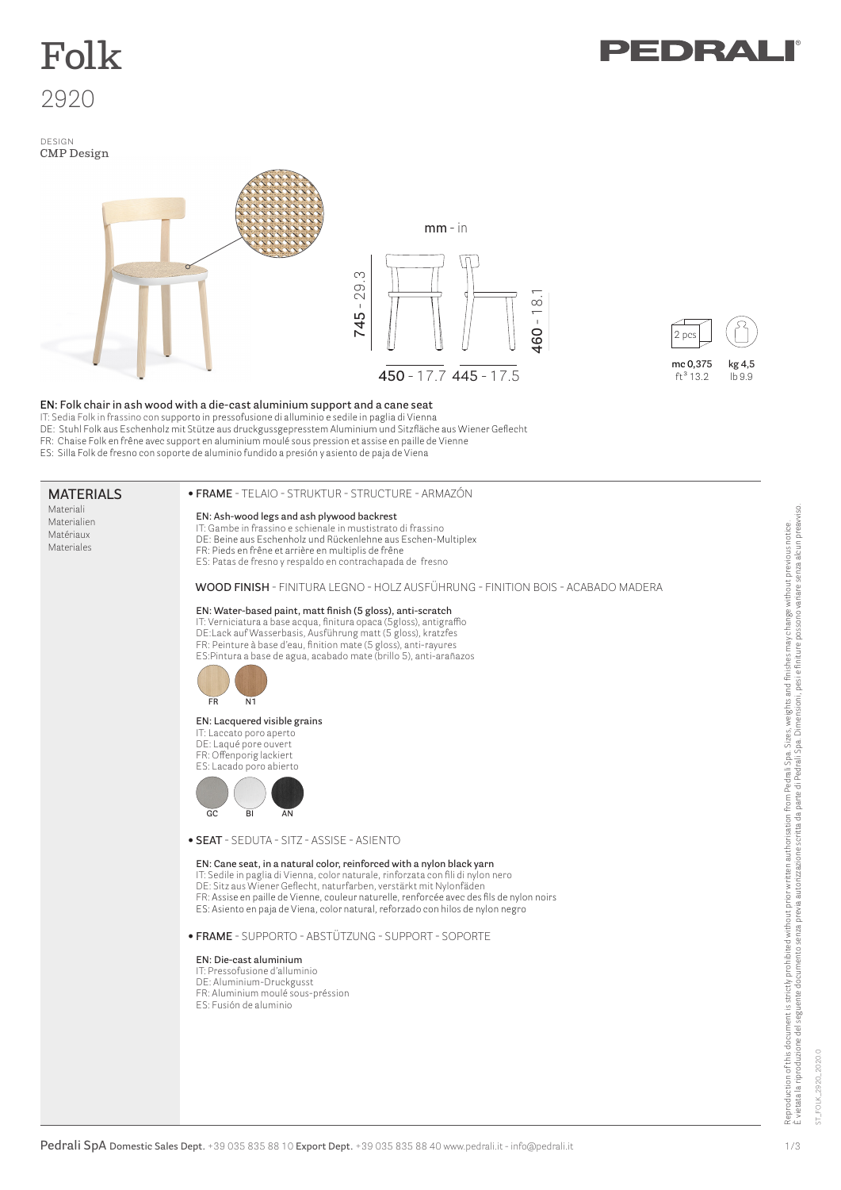**Folk** 2920









 $ft^3 13.2$ lb 9.9

#### **EN: Folk chair in ash wood with a die-cast aluminium support and a cane seat**

IT: Sedia Folk in frassino con supporto in pressofusione di alluminio e sedile in paglia di Vienna DE: Stuhl Folk aus Eschenholz mit Stütze aus druckgussgepresstem Aluminium und Sitzfläche aus Wiener Geflecht FR: Chaise Folk en frêne avec support en aluminium moulé sous pression et assise en paille de Vienne

ES: Silla Folk de fresno con soporte de aluminio fundido a presión y asiento de paja de Viena

## **MATERIALS**

Materiali Materialien Matériaux Materiales

#### **• FRAME** - TELAIO - STRUKTUR - STRUCTURE - ARMAZÓN

**EN: Ash-wood legs and ash plywood backrest**

IT: Gambe in frassino e schienale in mustistrato di frassino DE: Beine aus Eschenholz und Rückenlehne aus Eschen-Multiplex FR: Pieds en frêne et arrière en multiplis de frêne ES: Patas de fresno y respaldo en contrachapada de fresno

 **WOOD FINISH** - FINITURA LEGNO - HOLZ AUSFÜHRUNG - FINITION BOIS - ACABADO MADERA

## **EN: Water-based paint, matt finish (5 gloss), anti-scratch**

IT: Verniciatura a base acqua, finitura opaca (5gloss), antigraffio DE:Lack auf Wasserbasis, Ausführung matt (5 gloss), kratzfes FR: Peinture à base d'eau, finition mate (5 gloss), anti-rayures ES:Pintura a base de agua, acabado mate (brillo 5), anti-arañazos



#### **EN: Lacquered visible grains** IT: Laccato poro aperto

DE: Laqué pore ouvert FR: Offenporig lackiert ES: Lacado poro abierto



**• SEAT** - SEDUTA - SITZ - ASSISE - ASIENTO

### **EN: Cane seat, in a natural color, reinforced with a nylon black yarn**

IT: Sedile in paglia di Vienna, color naturale, rinforzata con fili di nylon nero DE: Sitz aus Wiener Geflecht, naturfarben, verstärkt mit Nylonfäden FR: Assise en paille de Vienne, couleur naturelle, renforcée avec des fils de nylon noirs ES: Asiento en paja de Viena, color natural, reforzado con hilos de nylon negro

**• FRAME** - SUPPORTO - ABSTÜTZUNG - SUPPORT - SOPORTE

#### **EN: Die-cast aluminium**

IT: Pressofusione d'alluminio DE: Aluminium-Druckgusst FR: Aluminium moulé sous-préssion ES: Fusión de aluminio

ST\_FOLK\_2920\_2020.0

ST\_FOLK\_2920\_2020.0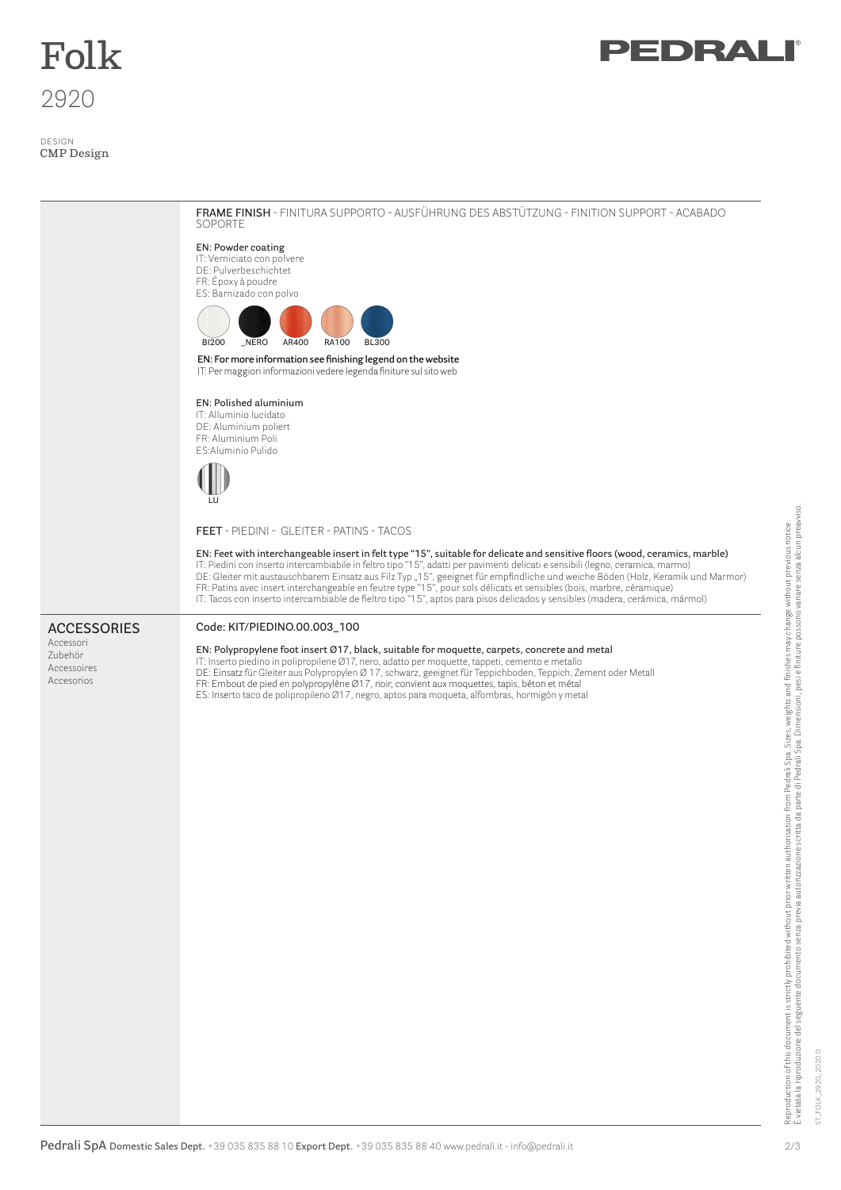

# **Folk** 2920

#### design **CMP Design**



Reproduction of this document is strictly prohibited without prior written authorisation from Pedrali Spa. Sizes, weights and finishes may change without previous notice.<br>È vietata la riproduzione del seguente documento se È vietata la riproduzione del seguente documento senza previa autorizzazione scritta da parte di Pedrali Spa. Dimensioni, pesi e finiture possono variare senza alcun preavviso. Reproduction of this document is strictly prohibited without prior written authorisation from Pedrali Spa. Sizes, weights and finishes may change without previous notice.

ST\_FOLK\_2920\_2020.0

ST\_FOLK\_2920\_2020.0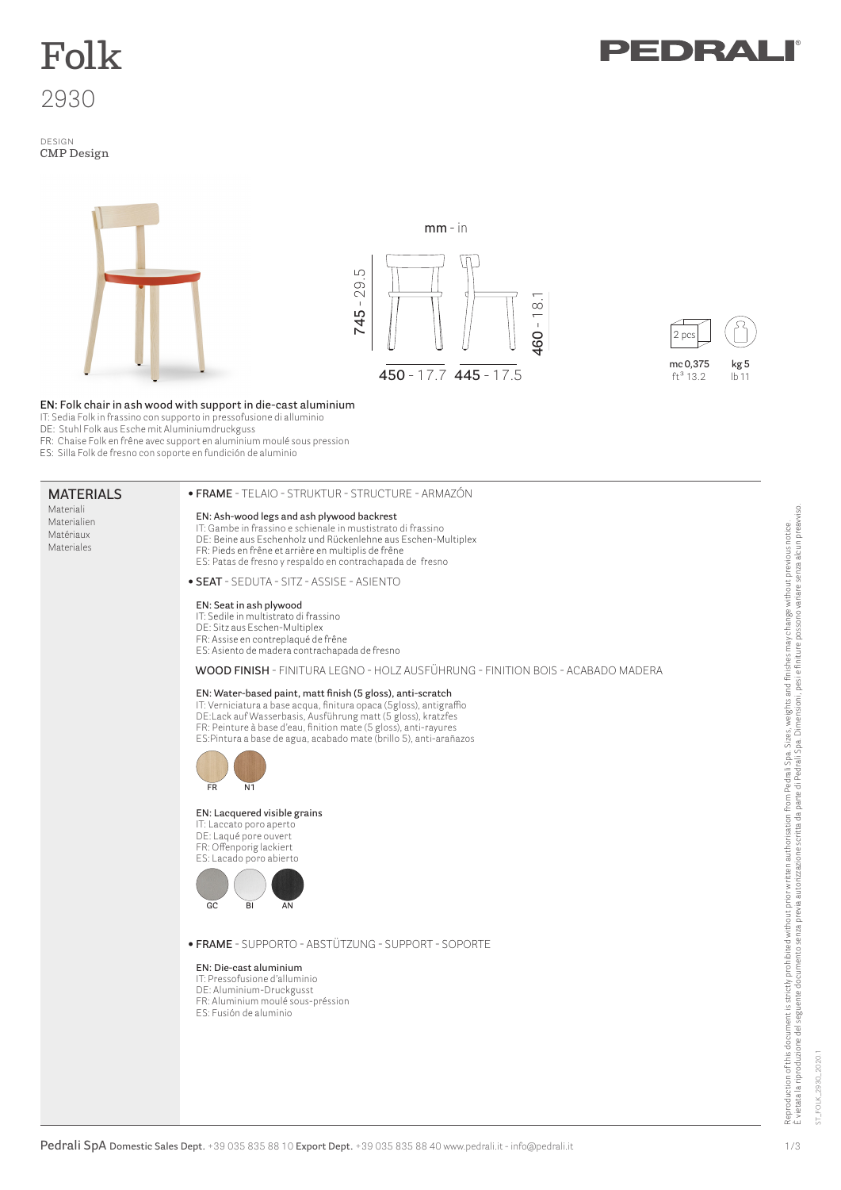**Folk** 2930







ft<sup>3</sup> 13.2  $\overline{10}$  11

#### **EN: Folk chair in ash wood with support in die-cast aluminium**

IT: Sedia Folk in frassino con supporto in pressofusione di alluminio

DE: Stuhl Folk aus Esche mit Aluminiumdruckguss

FR: Chaise Folk en frêne avec support en aluminium moulé sous pression

ES: Silla Folk de fresno con soporte en fundición de aluminio

## **MATERIALS**

Materiali Materialien Matériaux Materiales

**• FRAME** - TELAIO - STRUKTUR - STRUCTURE - ARMAZÓN

#### **EN: Ash-wood legs and ash plywood backrest**

IT: Gambe in frassino e schienale in mustistrato di frassino DE: Beine aus Eschenholz und Rückenlehne aus Eschen-Multiplex FR: Pieds en frêne et arrière en multiplis de frêne ES: Patas de fresno y respaldo en contrachapada de fresno

**• SEAT** - SEDUTA - SITZ - ASSISE - ASIENTO

#### **EN: Seat in ash plywood**

IT: Sedile in multistrato di frassino DE: Sitz aus Eschen-Multiplex FR: Assise en contreplaqué de frêne ES: Asiento de madera contrachapada de fresno

 **WOOD FINISH** - FINITURA LEGNO - HOLZ AUSFÜHRUNG - FINITION BOIS - ACABADO MADERA

#### **EN: Water-based paint, matt finish (5 gloss), anti-scratch**

IT: Verniciatura a base acqua, finitura opaca (5gloss), antigraffio DE:Lack auf Wasserbasis, Ausführung matt (5 gloss), kratzfes FR: Peinture à base d'eau, finition mate (5 gloss), anti-rayures ES:Pintura a base de agua, acabado mate (brillo 5), anti-arañazos



**EN: Lacquered visible grains** IT: Laccato poro aperto DE: Laqué pore ouvert

FR: Offenporig lackiert ES: Lacado poro abierto



**• FRAME** - SUPPORTO - ABSTÜTZUNG - SUPPORT - SOPORTE

# **EN: Die-cast aluminium**

IT: Pressofusione d'alluminio DE: Aluminium-Druckgusst FR: Aluminium moulé sous-préssion ES: Fusión de aluminio



ST\_FOLK\_2930\_2020.1

ST\_FOLK\_2930\_2020.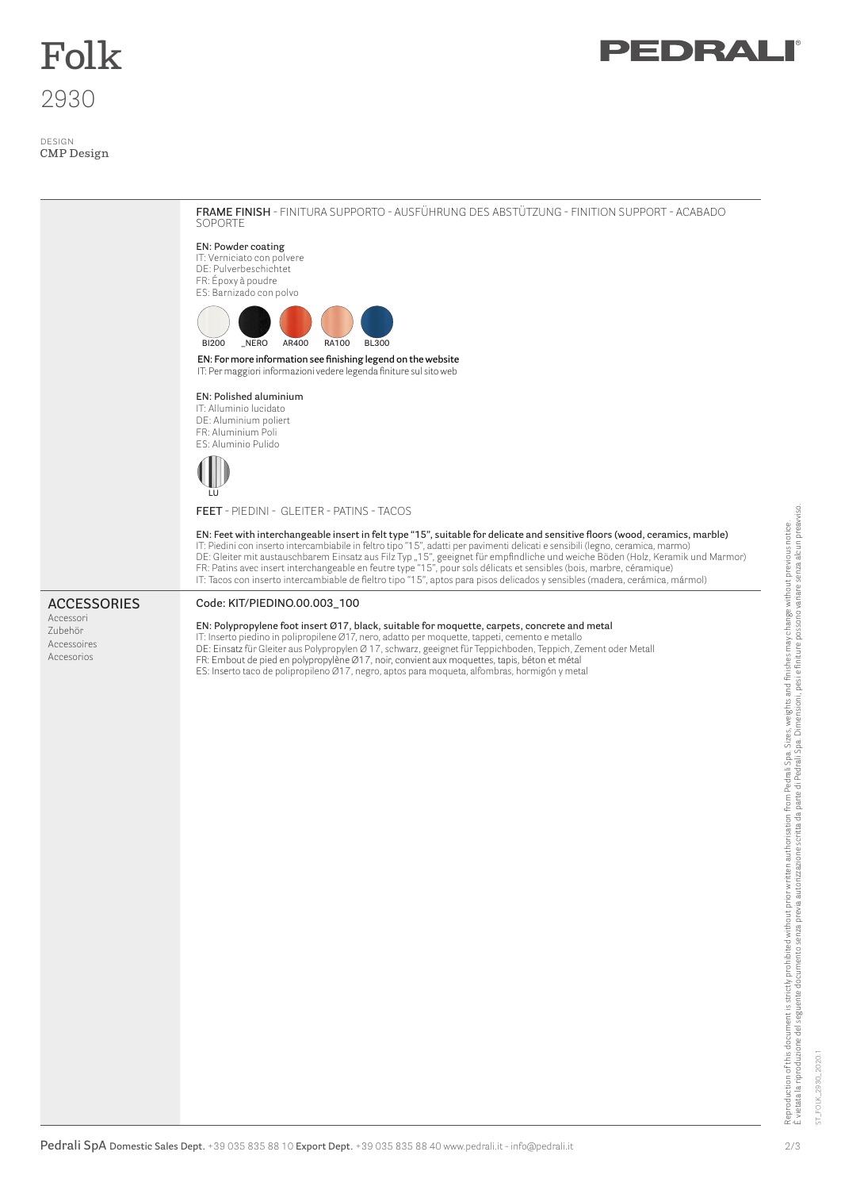

# **Folk** 2930

#### design **CMP Design**



ST\_FOLK\_2930\_2020.1

ST\_FOLK\_2930\_2020.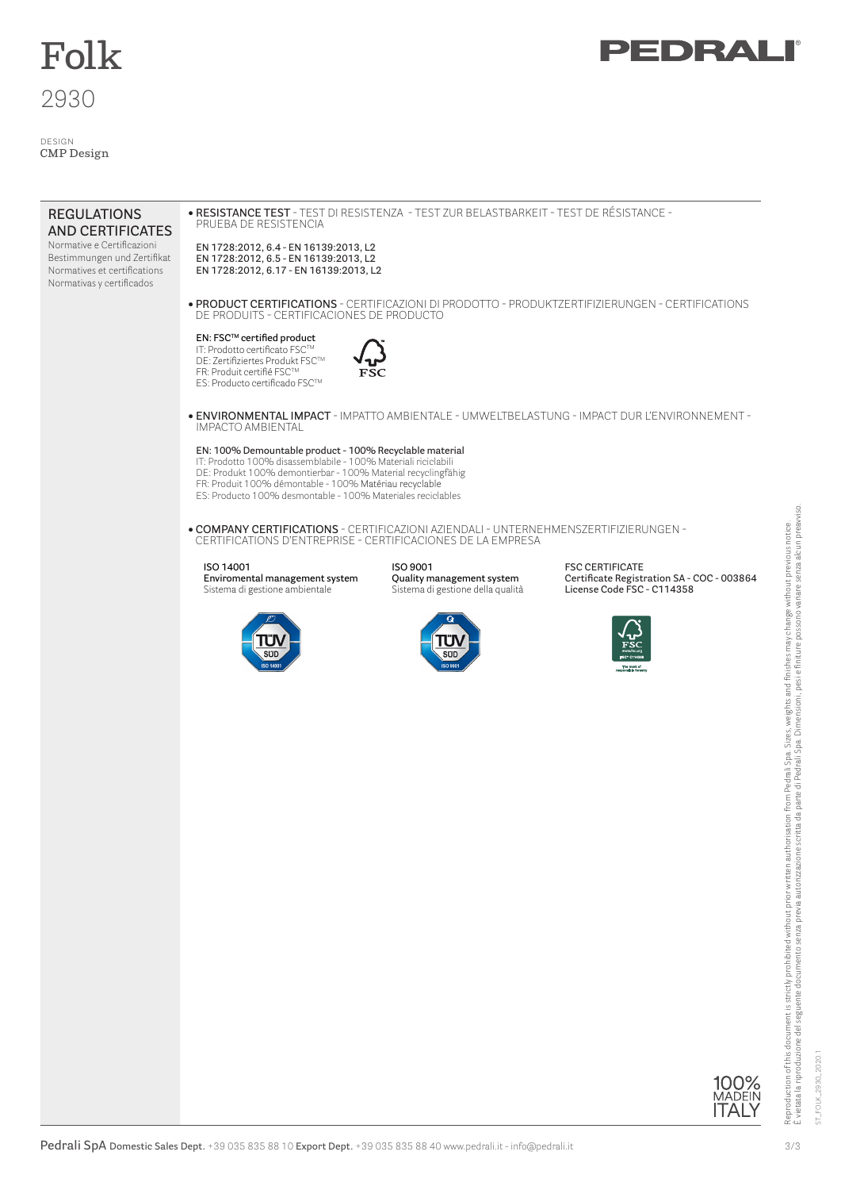

# **REGULATIONS AND CERTIFICATES**

Normative e Certificazioni Bestimmungen und Zertifikat Normatives et certifications Normativas y certificados

**• RESISTANCE TEST** - TEST DI RESISTENZA - TEST ZUR BELASTBARKEIT - TEST DE RÉSISTANCE - PRUEBA DE RESISTENCIA

**EN 1728:2012, 6.4 - EN 16139:2013, L2 EN 1728:2012, 6.5 - EN 16139:2013, L2 EN 1728:2012, 6.17 - EN 16139:2013, L2**

**• PRODUCT CERTIFICATIONS** - CERTIFICAZIONI DI PRODOTTO - PRODUKTZERTIFIZIERUNGEN - CERTIFICATIONS DE PRODUITS - CERTIFICACIONES DE PRODUCTO

**EN: FSCTM certified product** IT: Prodotto certificato FSC DE: Zertifiziertes Produkt FSC™ FR: Produit certifié FSC™ ES: Producto certificado FSCTM



**• ENVIRONMENTAL IMPACT** - IMPATTO AMBIENTALE - UMWELTBELASTUNG - IMPACT DUR L'ENVIRONNEMENT - IMPACTO AMBIENTAL

**EN: 100% Demountable product - 100% Recyclable material** IT: Prodotto 100% disassemblabile - 100% Materiali riciclabili DE: Produkt 100% demontierbar - 100% Material recyclingfähig FR: Produit 100% démontable - 100% Matériau recyclable ES: Producto 100% desmontable - 100% Materiales reciclables

**• COMPANY CERTIFICATIONS** - CERTIFICAZIONI AZIENDALI - UNTERNEHMENSZERTIFIZIERUNGEN - CERTIFICATIONS D'ENTREPRISE - CERTIFICACIONES DE LA EMPRESA

**ISO 14001 Enviromental management system** Sistema di gestione ambientale

**ISO 9001 Quality management system** Sistema di gestione della qualità



**FSC CERTIFICATE Certificate Registration SA - COC - 003864 License Code FSC - C114358**

EDRAI





ST\_FOLK\_2930\_2020.1

ST\_FOLK\_2930\_2020.